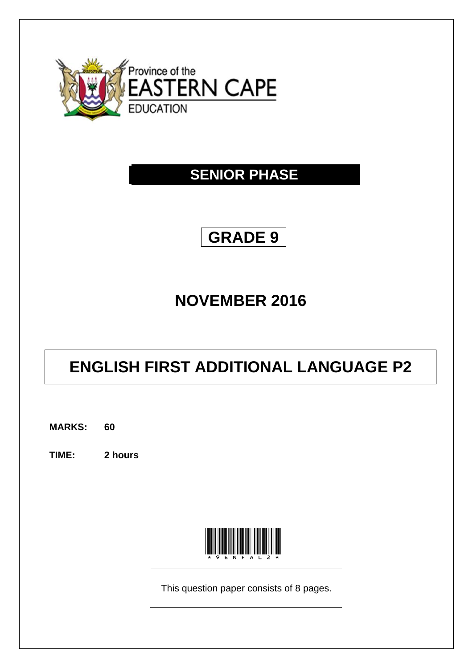

## **SENIOR PHASE**

## **GRADE 9**

## **NOVEMBER 2016**

# **ENGLISH FIRST ADDITIONAL LANGUAGE P2**

**MARKS: 60**

**TIME: 2 hours**



This question paper consists of 8 pages.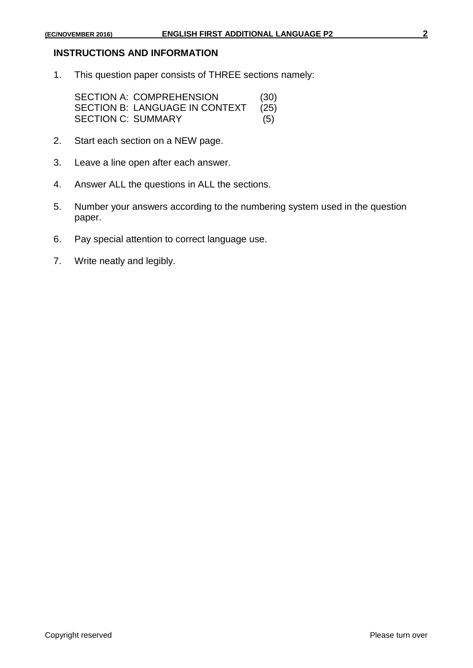#### **INSTRUCTIONS AND INFORMATION**

1. This question paper consists of THREE sections namely:

SECTION A: COMPREHENSION (30) SECTION B: LANGUAGE IN CONTEXT (25)<br>SECTION C: SUMMARY (5) **SECTION C: SUMMARY** 

- 2. Start each section on a NEW page.
- 3. Leave a line open after each answer.
- 4. Answer ALL the questions in ALL the sections.
- 5. Number your answers according to the numbering system used in the question paper.
- 6. Pay special attention to correct language use.
- 7. Write neatly and legibly.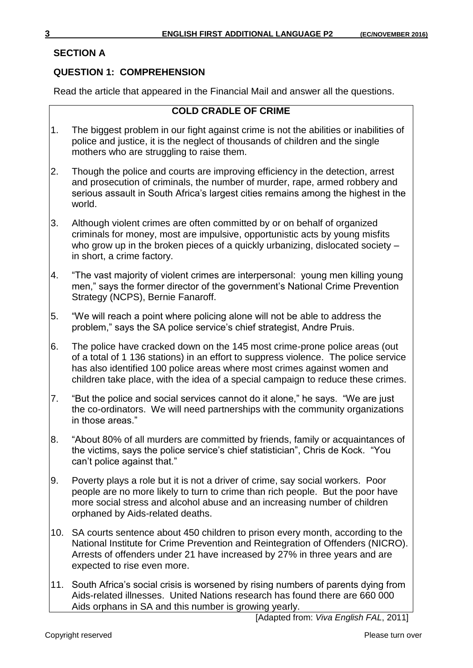## **SECTION A**

## **QUESTION 1: COMPREHENSION**

Read the article that appeared in the Financial Mail and answer all the questions.

## **COLD CRADLE OF CRIME**

- 1. The biggest problem in our fight against crime is not the abilities or inabilities of police and justice, it is the neglect of thousands of children and the single mothers who are struggling to raise them.
- 2. Though the police and courts are improving efficiency in the detection, arrest and prosecution of criminals, the number of murder, rape, armed robbery and serious assault in South Africa's largest cities remains among the highest in the world.
- 3. Although violent crimes are often committed by or on behalf of organized criminals for money, most are impulsive, opportunistic acts by young misfits who grow up in the broken pieces of a quickly urbanizing, dislocated society – in short, a crime factory.
- 4. "The vast majority of violent crimes are interpersonal: young men killing young men," says the former director of the government's National Crime Prevention Strategy (NCPS), Bernie Fanaroff.
- 5. "We will reach a point where policing alone will not be able to address the problem," says the SA police service's chief strategist, Andre Pruis.
- 6. The police have cracked down on the 145 most crime-prone police areas (out of a total of 1 136 stations) in an effort to suppress violence. The police service has also identified 100 police areas where most crimes against women and children take place, with the idea of a special campaign to reduce these crimes.
- 7. "But the police and social services cannot do it alone," he says. "We are just the co-ordinators. We will need partnerships with the community organizations in those areas."
- 8. "About 80% of all murders are committed by friends, family or acquaintances of the victims, says the police service's chief statistician", Chris de Kock. "You can't police against that."
- 9. Poverty plays a role but it is not a driver of crime, say social workers. Poor people are no more likely to turn to crime than rich people. But the poor have more social stress and alcohol abuse and an increasing number of children orphaned by Aids-related deaths.
- 10. SA courts sentence about 450 children to prison every month, according to the National Institute for Crime Prevention and Reintegration of Offenders (NICRO). Arrests of offenders under 21 have increased by 27% in three years and are expected to rise even more.
- 11. South Africa's social crisis is worsened by rising numbers of parents dying from Aids-related illnesses. United Nations research has found there are 660 000 Aids orphans in SA and this number is growing yearly.

[Adapted from: *Viva English FAL*, 2011]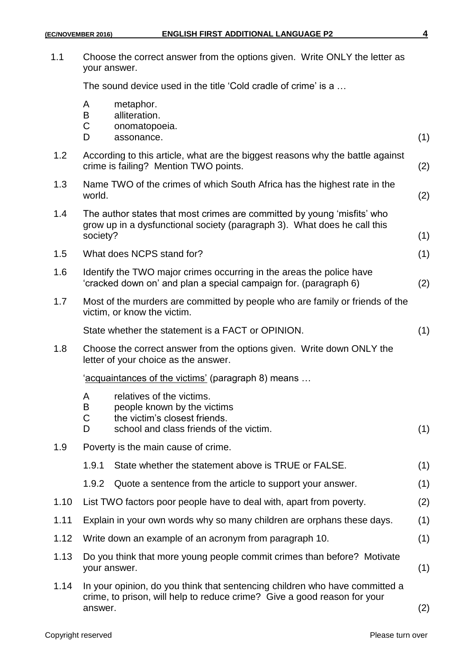| 1.1  | Choose the correct answer from the options given. Write ONLY the letter as<br>your answer.                                                              |                                                                                                                                                     |     |  |  |
|------|---------------------------------------------------------------------------------------------------------------------------------------------------------|-----------------------------------------------------------------------------------------------------------------------------------------------------|-----|--|--|
|      | The sound device used in the title 'Cold cradle of crime' is a                                                                                          |                                                                                                                                                     |     |  |  |
|      | A<br>B<br>C<br>D                                                                                                                                        | metaphor.<br>alliteration.<br>onomatopoeia.<br>assonance.                                                                                           | (1) |  |  |
| 1.2  |                                                                                                                                                         | According to this article, what are the biggest reasons why the battle against<br>crime is failing? Mention TWO points.                             | (2) |  |  |
| 1.3  | Name TWO of the crimes of which South Africa has the highest rate in the<br>world.                                                                      |                                                                                                                                                     | (2) |  |  |
| 1.4  | society?                                                                                                                                                | The author states that most crimes are committed by young 'misfits' who<br>grow up in a dysfunctional society (paragraph 3). What does he call this | (1) |  |  |
| 1.5  |                                                                                                                                                         | What does NCPS stand for?                                                                                                                           | (1) |  |  |
| 1.6  |                                                                                                                                                         | Identify the TWO major crimes occurring in the areas the police have<br>'cracked down on' and plan a special campaign for. (paragraph 6)            | (2) |  |  |
| 1.7  |                                                                                                                                                         | Most of the murders are committed by people who are family or friends of the<br>victim, or know the victim.                                         |     |  |  |
|      |                                                                                                                                                         | State whether the statement is a FACT or OPINION.                                                                                                   | (1) |  |  |
| 1.8  | Choose the correct answer from the options given. Write down ONLY the<br>letter of your choice as the answer.                                           |                                                                                                                                                     |     |  |  |
|      | 'acquaintances of the victims' (paragraph 8) means                                                                                                      |                                                                                                                                                     |     |  |  |
|      | A<br>Β<br>C<br>D                                                                                                                                        | relatives of the victims.<br>people known by the victims<br>the victim's closest friends.<br>school and class friends of the victim.                | (1) |  |  |
| 1.9  | Poverty is the main cause of crime.                                                                                                                     |                                                                                                                                                     |     |  |  |
|      | 1.9.1                                                                                                                                                   | State whether the statement above is TRUE or FALSE.                                                                                                 | (1) |  |  |
|      | 1.9.2                                                                                                                                                   | Quote a sentence from the article to support your answer.                                                                                           | (1) |  |  |
| 1.10 |                                                                                                                                                         | List TWO factors poor people have to deal with, apart from poverty.                                                                                 | (2) |  |  |
| 1.11 | Explain in your own words why so many children are orphans these days.                                                                                  |                                                                                                                                                     | (1) |  |  |
| 1.12 | (1)<br>Write down an example of an acronym from paragraph 10.                                                                                           |                                                                                                                                                     |     |  |  |
| 1.13 | Do you think that more young people commit crimes than before? Motivate<br>(1)<br>your answer.                                                          |                                                                                                                                                     |     |  |  |
| 1.14 | In your opinion, do you think that sentencing children who have committed a<br>crime, to prison, will help to reduce crime? Give a good reason for your |                                                                                                                                                     |     |  |  |

answer. (2)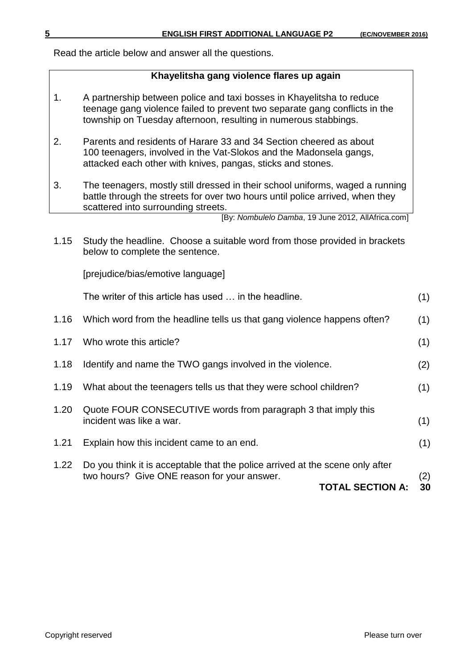Read the article below and answer all the questions.

#### **Khayelitsha gang violence flares up again**

- 1. A partnership between police and taxi bosses in Khayelitsha to reduce teenage gang violence failed to prevent two separate gang conflicts in the township on Tuesday afternoon, resulting in numerous stabbings.
- 2. Parents and residents of Harare 33 and 34 Section cheered as about 100 teenagers, involved in the Vat-Slokos and the Madonsela gangs, attacked each other with knives, pangas, sticks and stones.
- 3. The teenagers, mostly still dressed in their school uniforms, waged a running battle through the streets for over two hours until police arrived, when they scattered into surrounding streets.

1.15 Study the headline. Choose a suitable word from those provided in brackets below to complete the sentence.

[prejudice/bias/emotive language]

|      | The writer of this article has used  in the headline.                                                                                                   | (1)       |
|------|---------------------------------------------------------------------------------------------------------------------------------------------------------|-----------|
| 1.16 | Which word from the headline tells us that gang violence happens often?                                                                                 | (1)       |
| 1.17 | Who wrote this article?                                                                                                                                 | (1)       |
| 1.18 | Identify and name the TWO gangs involved in the violence.                                                                                               | (2)       |
| 1.19 | What about the teenagers tells us that they were school children?                                                                                       | (1)       |
| 1.20 | Quote FOUR CONSECUTIVE words from paragraph 3 that imply this<br>incident was like a war.                                                               | (1)       |
| 1.21 | Explain how this incident came to an end.                                                                                                               | (1)       |
| 1.22 | Do you think it is acceptable that the police arrived at the scene only after<br>two hours? Give ONE reason for your answer.<br><b>TOTAL SECTION A:</b> | (2)<br>30 |

<sup>[</sup>By: *Nombulelo Damba*, 19 June 2012, AllAfrica.com]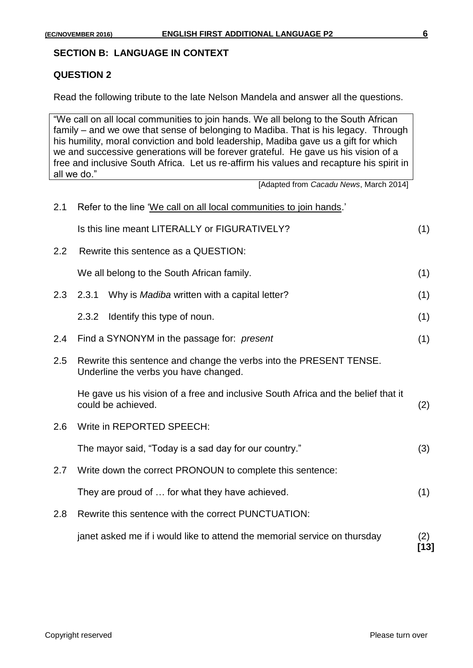#### **SECTION B: LANGUAGE IN CONTEXT**

#### **QUESTION 2**

Read the following tribute to the late Nelson Mandela and answer all the questions.

"We call on all local communities to join hands. We all belong to the South African family – and we owe that sense of belonging to Madiba. That is his legacy. Through his humility, moral conviction and bold leadership, Madiba gave us a gift for which we and successive generations will be forever grateful. He gave us his vision of a free and inclusive South Africa. Let us re-affirm his values and recapture his spirit in all we do."

[Adapted from *Cacadu News*, March 2014]

| 2.1 | Refer to the line 'We call on all local communities to join hands.'                                         |               |  |  |
|-----|-------------------------------------------------------------------------------------------------------------|---------------|--|--|
|     | Is this line meant LITERALLY or FIGURATIVELY?                                                               | (1)           |  |  |
| 2.2 | Rewrite this sentence as a QUESTION:                                                                        |               |  |  |
|     | We all belong to the South African family.                                                                  | (1)           |  |  |
| 2.3 | Why is Madiba written with a capital letter?<br>2.3.1                                                       | (1)           |  |  |
|     | 2.3.2<br>Identify this type of noun.                                                                        | (1)           |  |  |
| 2.4 | Find a SYNONYM in the passage for: present                                                                  | (1)           |  |  |
| 2.5 | Rewrite this sentence and change the verbs into the PRESENT TENSE.<br>Underline the verbs you have changed. |               |  |  |
|     | He gave us his vision of a free and inclusive South Africa and the belief that it<br>could be achieved.     | (2)           |  |  |
| 2.6 | Write in REPORTED SPEECH:                                                                                   |               |  |  |
|     | The mayor said, "Today is a sad day for our country."                                                       | (3)           |  |  |
| 2.7 | Write down the correct PRONOUN to complete this sentence:                                                   |               |  |  |
|     | They are proud of  for what they have achieved.                                                             | (1)           |  |  |
| 2.8 | Rewrite this sentence with the correct PUNCTUATION:                                                         |               |  |  |
|     | janet asked me if i would like to attend the memorial service on thursday                                   | (2)<br>$[13]$ |  |  |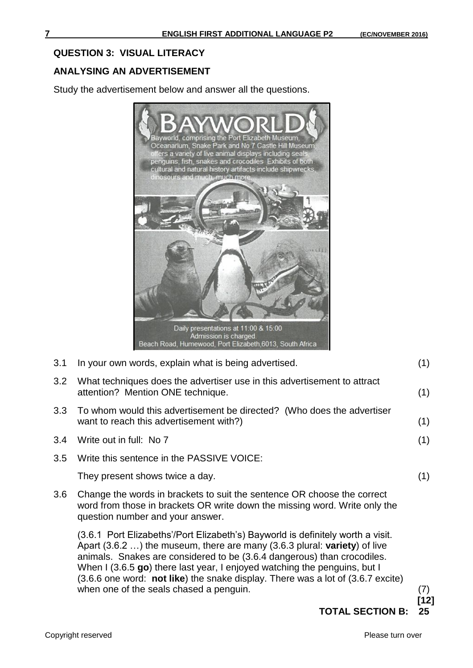### **QUESTION 3: VISUAL LITERACY**

## **ANALYSING AN ADVERTISEMENT**

Study the advertisement below and answer all the questions.



3.1 In your own words, explain what is being advertised. (1)

3.2 What techniques does the advertiser use in this advertisement to attract attention? Mention ONE technique. (1)

- 3.3 To whom would this advertisement be directed? (Who does the advertiser want to reach this advertisement with?) (1)
- 3.4 Write out in full: No 7 (1)
- 3.5 Write this sentence in the PASSIVE VOICE:

They present shows twice a day. (1)

3.6 Change the words in brackets to suit the sentence OR choose the correct word from those in brackets OR write down the missing word. Write only the question number and your answer.

(3.6.1 Port Elizabeths'/Port Elizabeth's) Bayworld is definitely worth a visit. Apart (3.6.2 …) the museum, there are many (3.6.3 plural: **variety**) of live animals. Snakes are considered to be (3.6.4 dangerous) than crocodiles. When I (3.6.5 **go**) there last year, I enjoyed watching the penguins, but I (3.6.6 one word: **not like**) the snake display. There was a lot of (3.6.7 excite) when one of the seals chased a penguin. (7)  $(7)$ 

**[12]**